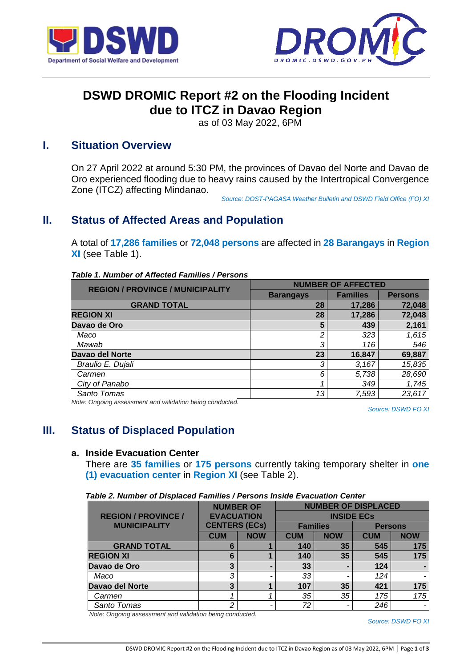



# **DSWD DROMIC Report #2 on the Flooding Incident due to ITCZ in Davao Region**

as of 03 May 2022, 6PM

### **I. Situation Overview**

On 27 April 2022 at around 5:30 PM, the provinces of Davao del Norte and Davao de Oro experienced flooding due to heavy rains caused by the Intertropical Convergence Zone (ITCZ) affecting Mindanao.

*Source: DOST-PAGASA Weather Bulletin and DSWD Field Office (FO) XI*

## **II. Status of Affected Areas and Population**

A total of **17,286 families** or **72,048 persons** are affected in **28 Barangays** in **Region XI** (see Table 1).

| Table 1. Number of Affected Families / Persons |  |
|------------------------------------------------|--|
|------------------------------------------------|--|

| <b>REGION / PROVINCE / MUNICIPALITY</b> | <b>NUMBER OF AFFECTED</b> |                 |                |  |
|-----------------------------------------|---------------------------|-----------------|----------------|--|
|                                         | <b>Barangays</b>          | <b>Families</b> | <b>Persons</b> |  |
| <b>GRAND TOTAL</b>                      | 28                        | 17,286          | 72,048         |  |
| <b>REGION XI</b>                        | 28                        | 17,286          | 72,048         |  |
| Davao de Oro                            | 5                         | 439             | 2,161          |  |
| Maco                                    | 2                         | 323             | 1,615          |  |
| Mawab                                   | 3                         | 116             | 546            |  |
| Davao del Norte                         | 23                        | 16,847          | 69,887         |  |
| Braulio E. Dujali                       | 3                         | 3,167           | 15,835         |  |
| Carmen                                  | 6                         | 5,738           | 28,690         |  |
| City of Panabo                          |                           | 349             | 1,745          |  |
| Santo Tomas                             | 13                        | 7,593           | 23,617         |  |

*Note: Ongoing assessment and validation being conducted.* 

*Source: DSWD FO XI*

## **III. Status of Displaced Population**

#### **a. Inside Evacuation Center**

There are **35 families** or **175 persons** currently taking temporary shelter in **one (1) evacuation center** in **Region XI** (see Table 2).

| Table 2. Number of Displaced Families / Persons Inside Evacuation Center |  |  |  |
|--------------------------------------------------------------------------|--|--|--|
|                                                                          |  |  |  |

|                            | <b>NUMBER OF</b>     |            | <b>NUMBER OF DISPLACED</b> |                 |                |            |
|----------------------------|----------------------|------------|----------------------------|-----------------|----------------|------------|
| <b>REGION / PROVINCE /</b> | <b>EVACUATION</b>    |            | <b>INSIDE ECS</b>          |                 |                |            |
| <b>MUNICIPALITY</b>        | <b>CENTERS (ECs)</b> |            |                            | <b>Families</b> | <b>Persons</b> |            |
|                            | <b>CUM</b>           | <b>NOW</b> | <b>CUM</b>                 | <b>NOW</b>      | <b>CUM</b>     | <b>NOW</b> |
| <b>GRAND TOTAL</b>         | 6                    |            | 140                        | 35              | 545            | 175        |
| <b>REGION XI</b>           | 6                    | 1          | 140                        | 35              | 545            | 175        |
| Davao de Oro               |                      |            | 33                         |                 | 124            |            |
| Maco                       | 3                    | ٠          | 33                         |                 | 124            |            |
| Davao del Norte            | 3                    | 1          | 107                        | 35              | 421            | 175        |
| Carmen                     |                      |            | 35                         | 35              | 175            | 175        |
| Santo Tomas                | າ                    |            | 72                         |                 | 246            |            |

*Note: Ongoing assessment and validation being conducted.*

*Source: DSWD FO XI*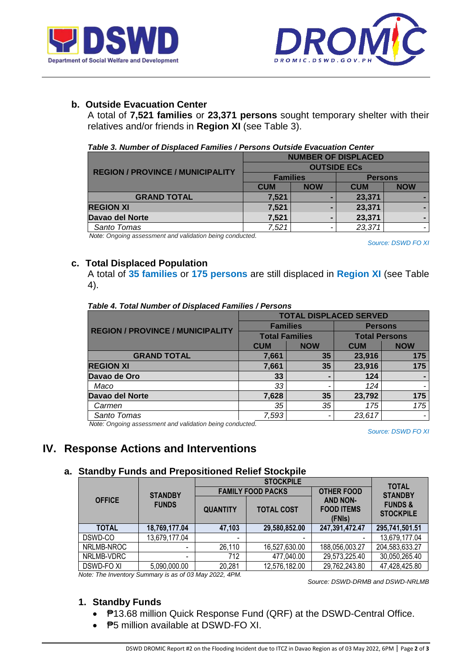



### **b. Outside Evacuation Center**

A total of **7,521 families** or **23,371 persons** sought temporary shelter with their relatives and/or friends in **Region XI** (see Table 3).

|  | Table 3. Number of Displaced Families / Persons Outside Evacuation Center |  |  |  |
|--|---------------------------------------------------------------------------|--|--|--|
|  |                                                                           |  |  |  |

|                                         | <b>NUMBER OF DISPLACED</b> |            |                |            |  |
|-----------------------------------------|----------------------------|------------|----------------|------------|--|
| <b>REGION / PROVINCE / MUNICIPALITY</b> | <b>OUTSIDE ECS</b>         |            |                |            |  |
|                                         | <b>Families</b>            |            | <b>Persons</b> |            |  |
|                                         | <b>CUM</b>                 | <b>NOW</b> | <b>CUM</b>     | <b>NOW</b> |  |
| <b>GRAND TOTAL</b>                      | 7,521                      |            | 23,371         |            |  |
| <b>REGION XI</b>                        | 7,521                      |            | 23,371         |            |  |
| Davao del Norte                         | 7,521                      |            | 23,371         |            |  |
| Santo Tomas                             | 7,521                      |            | 23,371         | -          |  |

*Note: Ongoing assessment and validation being conducted.*

*Source: DSWD FO XI*

### **c. Total Displaced Population**

A total of **35 families** or **175 persons** are still displaced in **Region XI** (see Table 4).

|                                         | <b>TOTAL DISPLACED SERVED</b> |            |                      |                |  |
|-----------------------------------------|-------------------------------|------------|----------------------|----------------|--|
| <b>REGION / PROVINCE / MUNICIPALITY</b> | <b>Families</b>               |            | <b>Persons</b>       |                |  |
|                                         | <b>Total Families</b>         |            | <b>Total Persons</b> |                |  |
|                                         | <b>CUM</b>                    | <b>NOW</b> | <b>CUM</b>           | <b>NOW</b>     |  |
| <b>GRAND TOTAL</b>                      | 7,661                         | 35         | 23,916               | 175            |  |
| <b>REGION XI</b>                        | 7,661                         | 35         | 23,916               | 175            |  |
| Davao de Oro                            | 33                            |            | 124                  | $\blacksquare$ |  |
| Maco                                    | 33                            |            | 124                  |                |  |
| Davao del Norte                         | 7,628                         | 35         | 23,792               | 175            |  |
| Carmen                                  | 35                            | 35         | 175                  | 175            |  |
| Santo Tomas                             | 7,593                         |            | 23,617               |                |  |

#### *Table 4. Total Number of Displaced Families / Persons*

*Note: Ongoing assessment and validation being conducted.*

*Source: DSWD FO XI*

## **IV. Response Actions and Interventions**

### **a. Standby Funds and Prepositioned Relief Stockpile**

|               |                |                          | <b>TOTAL</b>             |                                                |                                        |
|---------------|----------------|--------------------------|--------------------------|------------------------------------------------|----------------------------------------|
|               | <b>STANDBY</b> |                          | <b>FAMILY FOOD PACKS</b> | <b>OTHER FOOD</b>                              | <b>STANDBY</b>                         |
| <b>OFFICE</b> | <b>FUNDS</b>   | <b>QUANTITY</b>          | <b>TOTAL COST</b>        | <b>AND NON-</b><br><b>FOOD ITEMS</b><br>(FNIs) | <b>FUNDS &amp;</b><br><b>STOCKPILE</b> |
| <b>TOTAL</b>  | 18,769,177.04  | 47,103                   | 29,580,852.00            | 247,391,472.47                                 | 295,741,501.51                         |
| DSWD-CO       | 13,679,177.04  | $\overline{\phantom{0}}$ | $\,$                     |                                                | 13,679,177.04                          |
| NRLMB-NROC    |                | 26,110                   | 16,527,630.00            | 188,056,003.27                                 | 204,583,633.27                         |
| NRLMB-VDRC    |                | 712                      | 477,040.00               | 29,573,225.40                                  | 30,050,265.40                          |
| DSWD-FO XI    | 5,090,000.00   | 20,281                   | 12,576,182.00            | 29,762,243.80                                  | 47,428,425.80                          |

*Note: The Inventory Summary is as of 03 May 2022, 4PM.*

 *Source: DSWD-DRMB and DSWD-NRLMB*

### **1. Standby Funds**

- **₱13.68 million Quick Response Fund (QRF) at the DSWD-Central Office.**
- **P**5 million available at DSWD-FO XI.